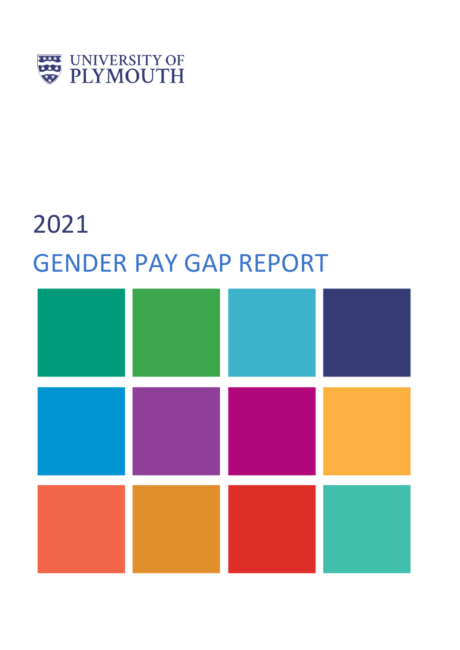

# 2021 GENDER PAY GAP REPORT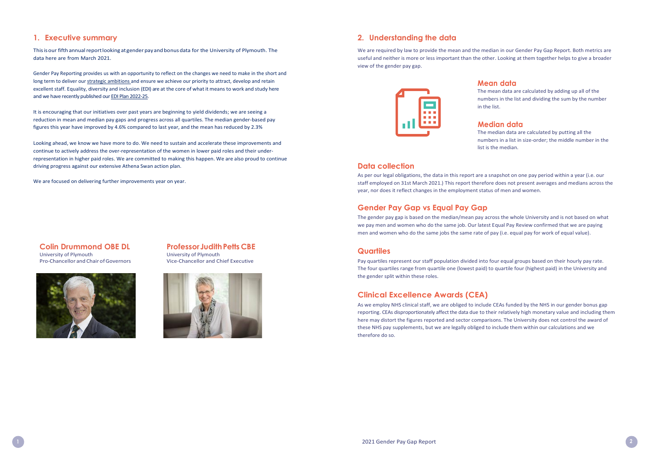#### **1. Executive summary**

This is our fifth annual report looking at gender pay and bonus data for the University of Plymouth. The data here are from March 2021.

Gender Pay Reporting provides us with an opportunity to reflect on the changes we need to make in the short and long term to deliver our [strategic ambitions a](https://www.plymouth.ac.uk/about-us/strategy)nd ensure we achieve our priority to attract, develop and retain excellent staff. Equality, diversity and inclusion (EDI) are at the core of what it means to work and study here and we have recently published our EDI Plan 2022-25.

**Colin Drummond OBE DL** University of Plymouth Pro-Chancellor and Chair of Governors



# **Professor Judith Petts CBE**

It is encouraging that our initiatives over past years are beginning to yield dividends; we are seeing a reduction in mean and median pay gaps and progress across all quartiles. The median gender-based pay figures this year have improved by 4.6% compared to last year, and the mean has reduced by 2.3%

Looking ahead, we know we have more to do. We need to sustain and accelerate these improvements and continue to actively address the over-representation of the women in lower paid roles and their underrepresentation in higher paid roles. We are committed to making this happen. We are also proud to continue driving progress against our extensive Athena Swan action plan.

We are focused on delivering further improvements year on year.

University of Plymouth Vice-Chancellor and Chief Executive



# **2. Understanding the data**

We are required by law to provide the mean and the median in our Gender Pay Gap Report. Both metrics are useful and neither is more or less important than the other. Looking at them together helps to give a broader view of the gender pay gap.



#### **Mean data**

The mean data are calculated by adding up all of the numbers in the list and dividing the sum by the number

# in the list.

# **Median data**

The median data are calculated by putting all the numbers in a list in size-order; the middle number in the list is the median.

# **Data collection**

As per our legal obligations, the data in this report are a snapshot on one pay period within a year (i.e. our staff employed on 31st March 2021.) This report therefore does not present averages and medians across the year, nor does it reflect changes in the employment status of men and women.

# **Gender Pay Gap vs Equal Pay Gap**

The gender pay gap is based on the median/mean pay across the whole University and is not based on what we pay men and women who do the same job. Our latest Equal Pay Review confirmed that we are paying men and women who do the same jobs the same rate of pay (i.e. equal pay for work of equal value).

#### **Quartiles**

Pay quartiles represent our staff population divided into four equal groups based on their hourly pay rate. The four quartiles range from quartile one (lowest paid) to quartile four (highest paid) in the University and the gender split within these roles.

# **Clinical Excellence Awards (CEA)**

As we employ NHS clinical staff, we are obliged to include CEAs funded by the NHS in our gender bonus gap reporting. CEAs disproportionately affect the data due to their relatively high monetary value and including them here may distort the figures reported and sector comparisons. The University does not control the award of these NHS pay supplements, but we are legally obliged to include them within our calculations and we therefore do so.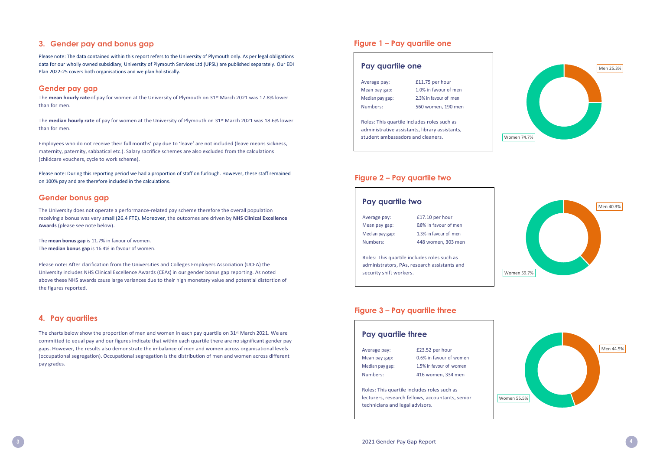

#### **3. Gender pay and bonus gap**

The **mean hourly rate** of pay for women at the University of Plymouth on 31<sup>st</sup> March 2021 was 17.8% lower than for men.

Please note: The data contained within this report refers to the University of Plymouth only. As per legal obligations data for our wholly owned subsidiary, University of Plymouth Services Ltd (UPSL) are published separately. Our EDI Plan 2022-25 covers both organisations and we plan holistically.

#### **Gender pay gap**

The **median hourly rate** of pay for women at the University of Plymouth on 31st March 2021 was 18.6% lower than for men.

Employees who do not receive their full months' pay due to 'leave' are not included (leave means sickness, maternity, paternity, sabbatical etc.). Salary sacrifice schemes are also excluded from the calculations (childcare vouchers, cycle to work scheme).

Please note: During this reporting period we had a proportion of staff on furlough. However, these staff remained on 100% pay and are therefore included in the calculations.

#### **Gender bonus gap**

The charts below show the proportion of men and women in each pay quartile on  $31^{st}$  March 2021. We are committed to equal pay and our figures indicate that within each quartile there are no significant gender pay gaps. However, the results also demonstrate the imbalance of men and women across organisational levels (occupational segregation). Occupational segregation is the distribution of men and women across different pay grades.

The University does not operate a performance-related pay scheme therefore the overall population receiving a bonus was very small (26.4 FTE). Moreover, the outcomes are driven by **NHS Clinical Excellence Awards** (please see note below).

The **mean bonus gap** is 11.7% in favour of women. The **median bonus gap** is 16.4% in favour of women.

Please note: After clarification from the Universities and Colleges Employers Association (UCEA) the University includes NHS Clinical Excellence Awards (CEAs) in our gender bonus gap reporting. As noted above these NHS awards cause large variances due to their high monetary value and potential distortion of the figures reported.

# **4. Pay quartiles**

# **Pay quartile one**

| Average pay:    | £11.75 per hour       |
|-----------------|-----------------------|
| Mean pay gap:   | 1.0% in favour of men |
| Median pay gap: | 2.3% in favour of men |
| Numbers:        | 560 women, 190 men    |

Roles: This quartile includes roles such as administrative assistants, library assistants, student ambassadors and cleaners.

#### **Figure 2 – Pay quartile two**

# **Pay quartile two**

| Average pay:    | £17.10 per hour       |
|-----------------|-----------------------|
| Mean pay gap:   | 0.8% in favour of men |
| Median pay gap: | 1.3% in favour of men |
| Numbers:        | 448 women, 303 men    |

Roles: This quartile includes roles such as administrators, PAs, research assistants and security shift workers.

#### **Figure 3 – Pay quartile three**

#### **Pay quartile three**

| Average pay:    | £23.52 per hour     |
|-----------------|---------------------|
| Mean pay gap:   | 0.6% in favour of   |
| Median pay gap: | 1.5% in favour of y |
| Numbers:        | 416 women, 334      |

Mean pay gap: 0.6% in favour of women Median pay gap: 1.5% in favour of women Numbers: 416 women, 334 men

Roles: This quartile includes roles such as lecturers, research fellows, accountants, senior technicians and legal advisors.

#### **Figure 1 – Pay quartile one**